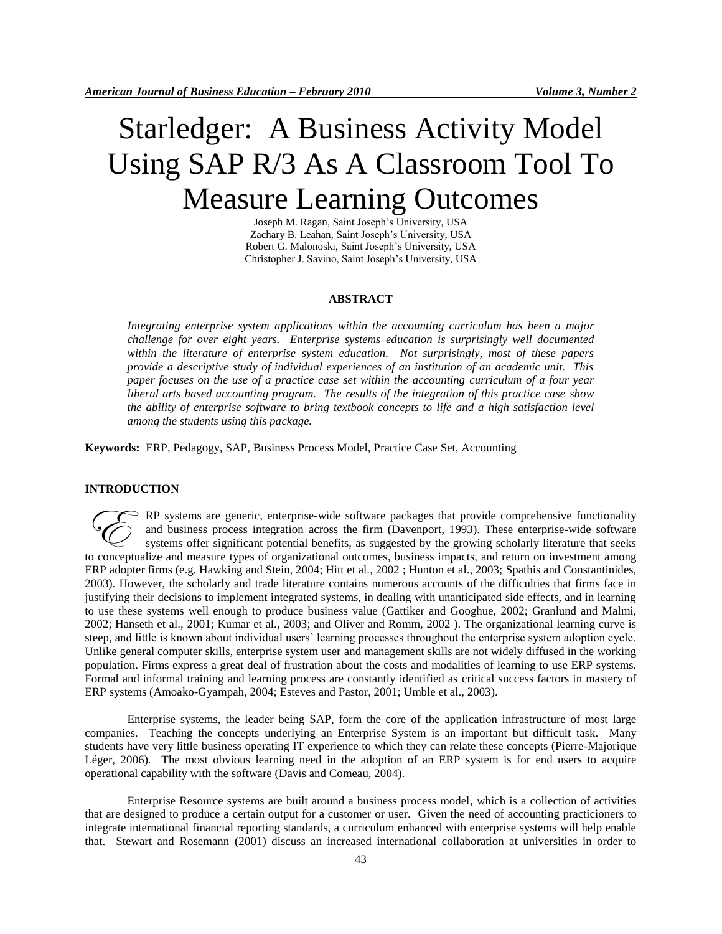# Starledger: A Business Activity Model Using SAP R/3 As A Classroom Tool To Measure Learning Outcomes

Joseph M. Ragan, Saint Joseph's University, USA Zachary B. Leahan, Saint Joseph's University, USA Robert G. Malonoski, Saint Joseph's University, USA Christopher J. Savino, Saint Joseph's University, USA

#### **ABSTRACT**

*Integrating enterprise system applications within the accounting curriculum has been a major challenge for over eight years. Enterprise systems education is surprisingly well documented within the literature of enterprise system education. Not surprisingly, most of these papers provide a descriptive study of individual experiences of an institution of an academic unit. This paper focuses on the use of a practice case set within the accounting curriculum of a four year liberal arts based accounting program. The results of the integration of this practice case show the ability of enterprise software to bring textbook concepts to life and a high satisfaction level among the students using this package.* 

**Keywords:** ERP, Pedagogy, SAP, Business Process Model, Practice Case Set, Accounting

#### **INTRODUCTION**

RP systems are generic, enterprise-wide software packages that provide comprehensive functionality and business process integration across the firm (Davenport, 1993). These enterprise-wide software systems offer significant potential benefits, as suggested by the growing scholarly literature that seeks RP systems are generic, enterprise-wide software packages that provide comprehensive functionality and business process integration across the firm (Davenport, 1993). These enterprise-wide software systems offer significan ERP adopter firms (e.g. Hawking and Stein, 2004; Hitt et al., 2002 ; Hunton et al., 2003; Spathis and Constantinides, 2003). However, the scholarly and trade literature contains numerous accounts of the difficulties that firms face in justifying their decisions to implement integrated systems, in dealing with unanticipated side effects, and in learning to use these systems well enough to produce business value (Gattiker and Googhue, 2002; Granlund and Malmi, 2002; Hanseth et al., 2001; Kumar et al., 2003; and Oliver and Romm, 2002 ). The organizational learning curve is steep, and little is known about individual users' learning processes throughout the enterprise system adoption cycle. Unlike general computer skills, enterprise system user and management skills are not widely diffused in the working population. Firms express a great deal of frustration about the costs and modalities of learning to use ERP systems. Formal and informal training and learning process are constantly identified as critical success factors in mastery of ERP systems (Amoako-Gyampah, 2004; Esteves and Pastor, 2001; Umble et al., 2003).

Enterprise systems, the leader being SAP, form the core of the application infrastructure of most large companies. Teaching the concepts underlying an Enterprise System is an important but difficult task. Many students have very little business operating IT experience to which they can relate these concepts (Pierre-Majorique Léger, 2006). The most obvious learning need in the adoption of an ERP system is for end users to acquire operational capability with the software (Davis and Comeau, 2004).

Enterprise Resource systems are built around a business process model, which is a collection of activities that are designed to produce a certain output for a customer or user. Given the need of accounting practicioners to integrate international financial reporting standards, a curriculum enhanced with enterprise systems will help enable that. Stewart and Rosemann (2001) discuss an increased international collaboration at universities in order to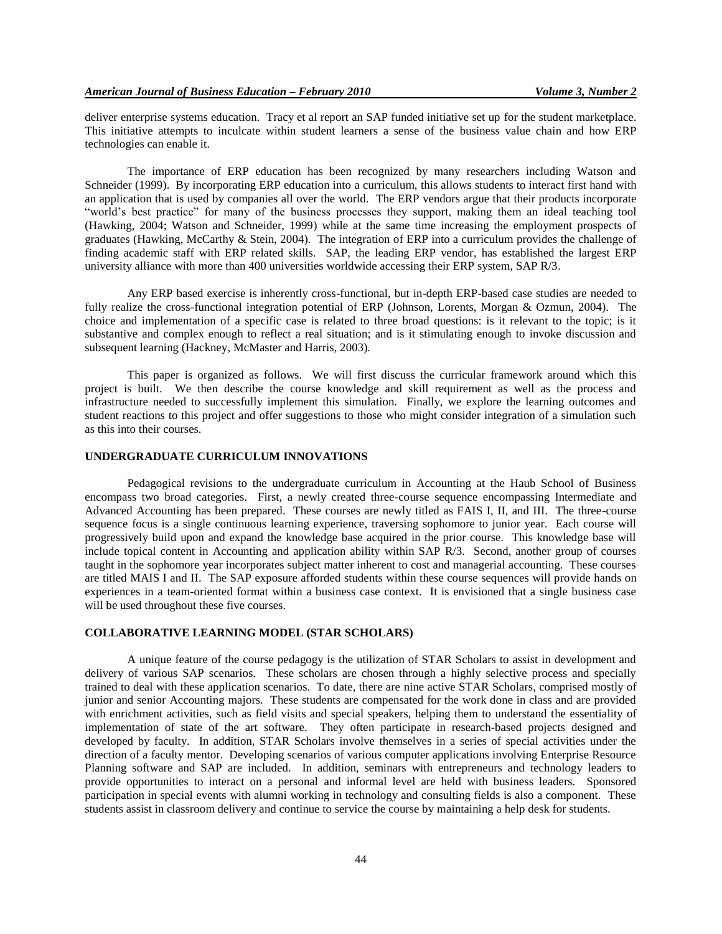deliver enterprise systems education. Tracy et al report an SAP funded initiative set up for the student marketplace. This initiative attempts to inculcate within student learners a sense of the business value chain and how ERP technologies can enable it.

The importance of ERP education has been recognized by many researchers including Watson and Schneider (1999). By incorporating ERP education into a curriculum, this allows students to interact first hand with an application that is used by companies all over the world. The ERP vendors argue that their products incorporate "world's best practice" for many of the business processes they support, making them an ideal teaching tool (Hawking, 2004; Watson and Schneider, 1999) while at the same time increasing the employment prospects of graduates (Hawking, McCarthy & Stein, 2004). The integration of ERP into a curriculum provides the challenge of finding academic staff with ERP related skills. SAP, the leading ERP vendor, has established the largest ERP university alliance with more than 400 universities worldwide accessing their ERP system, SAP R/3.

Any ERP based exercise is inherently cross-functional, but in-depth ERP-based case studies are needed to fully realize the cross-functional integration potential of ERP (Johnson, Lorents, Morgan & Ozmun, 2004). The choice and implementation of a specific case is related to three broad questions: is it relevant to the topic; is it substantive and complex enough to reflect a real situation; and is it stimulating enough to invoke discussion and subsequent learning (Hackney, McMaster and Harris, 2003).

This paper is organized as follows. We will first discuss the curricular framework around which this project is built. We then describe the course knowledge and skill requirement as well as the process and infrastructure needed to successfully implement this simulation. Finally, we explore the learning outcomes and student reactions to this project and offer suggestions to those who might consider integration of a simulation such as this into their courses.

#### **UNDERGRADUATE CURRICULUM INNOVATIONS**

Pedagogical revisions to the undergraduate curriculum in Accounting at the Haub School of Business encompass two broad categories. First, a newly created three-course sequence encompassing Intermediate and Advanced Accounting has been prepared. These courses are newly titled as FAIS I, II, and III. The three-course sequence focus is a single continuous learning experience, traversing sophomore to junior year. Each course will progressively build upon and expand the knowledge base acquired in the prior course. This knowledge base will include topical content in Accounting and application ability within SAP R/3. Second, another group of courses taught in the sophomore year incorporates subject matter inherent to cost and managerial accounting. These courses are titled MAIS I and II. The SAP exposure afforded students within these course sequences will provide hands on experiences in a team-oriented format within a business case context. It is envisioned that a single business case will be used throughout these five courses.

#### **COLLABORATIVE LEARNING MODEL (STAR SCHOLARS)**

A unique feature of the course pedagogy is the utilization of STAR Scholars to assist in development and delivery of various SAP scenarios. These scholars are chosen through a highly selective process and specially trained to deal with these application scenarios. To date, there are nine active STAR Scholars, comprised mostly of junior and senior Accounting majors. These students are compensated for the work done in class and are provided with enrichment activities, such as field visits and special speakers, helping them to understand the essentiality of implementation of state of the art software. They often participate in research-based projects designed and developed by faculty. In addition, STAR Scholars involve themselves in a series of special activities under the direction of a faculty mentor. Developing scenarios of various computer applications involving Enterprise Resource Planning software and SAP are included. In addition, seminars with entrepreneurs and technology leaders to provide opportunities to interact on a personal and informal level are held with business leaders. Sponsored participation in special events with alumni working in technology and consulting fields is also a component. These students assist in classroom delivery and continue to service the course by maintaining a help desk for students.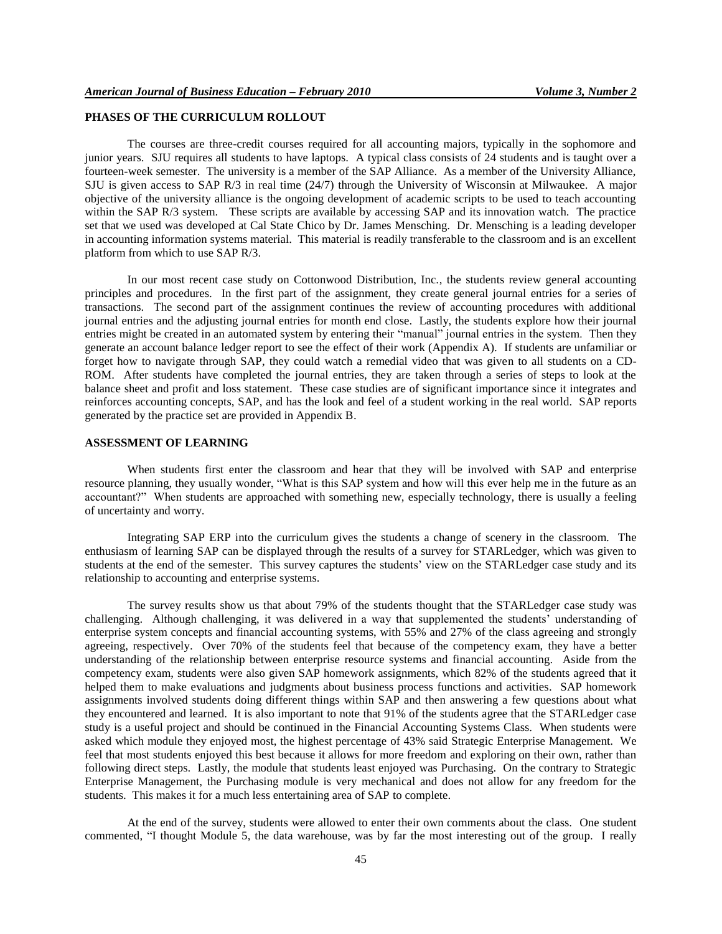#### **PHASES OF THE CURRICULUM ROLLOUT**

The courses are three-credit courses required for all accounting majors, typically in the sophomore and junior years. SJU requires all students to have laptops. A typical class consists of 24 students and is taught over a fourteen-week semester. The university is a member of the SAP Alliance. As a member of the University Alliance, SJU is given access to SAP R/3 in real time (24/7) through the University of Wisconsin at Milwaukee. A major objective of the university alliance is the ongoing development of academic scripts to be used to teach accounting within the SAP R/3 system. These scripts are available by accessing SAP and its innovation watch. The practice set that we used was developed at Cal State Chico by Dr. James Mensching. Dr. Mensching is a leading developer in accounting information systems material. This material is readily transferable to the classroom and is an excellent platform from which to use SAP R/3.

In our most recent case study on Cottonwood Distribution, Inc., the students review general accounting principles and procedures. In the first part of the assignment, they create general journal entries for a series of transactions. The second part of the assignment continues the review of accounting procedures with additional journal entries and the adjusting journal entries for month end close. Lastly, the students explore how their journal entries might be created in an automated system by entering their "manual" journal entries in the system. Then they generate an account balance ledger report to see the effect of their work (Appendix A). If students are unfamiliar or forget how to navigate through SAP, they could watch a remedial video that was given to all students on a CD-ROM. After students have completed the journal entries, they are taken through a series of steps to look at the balance sheet and profit and loss statement. These case studies are of significant importance since it integrates and reinforces accounting concepts, SAP, and has the look and feel of a student working in the real world. SAP reports generated by the practice set are provided in Appendix B.

#### **ASSESSMENT OF LEARNING**

When students first enter the classroom and hear that they will be involved with SAP and enterprise resource planning, they usually wonder, "What is this SAP system and how will this ever help me in the future as an accountant?" When students are approached with something new, especially technology, there is usually a feeling of uncertainty and worry.

Integrating SAP ERP into the curriculum gives the students a change of scenery in the classroom. The enthusiasm of learning SAP can be displayed through the results of a survey for STARLedger, which was given to students at the end of the semester. This survey captures the students' view on the STARLedger case study and its relationship to accounting and enterprise systems.

The survey results show us that about 79% of the students thought that the STARLedger case study was challenging. Although challenging, it was delivered in a way that supplemented the students' understanding of enterprise system concepts and financial accounting systems, with 55% and 27% of the class agreeing and strongly agreeing, respectively. Over 70% of the students feel that because of the competency exam, they have a better understanding of the relationship between enterprise resource systems and financial accounting. Aside from the competency exam, students were also given SAP homework assignments, which 82% of the students agreed that it helped them to make evaluations and judgments about business process functions and activities. SAP homework assignments involved students doing different things within SAP and then answering a few questions about what they encountered and learned. It is also important to note that 91% of the students agree that the STARLedger case study is a useful project and should be continued in the Financial Accounting Systems Class. When students were asked which module they enjoyed most, the highest percentage of 43% said Strategic Enterprise Management. We feel that most students enjoyed this best because it allows for more freedom and exploring on their own, rather than following direct steps. Lastly, the module that students least enjoyed was Purchasing. On the contrary to Strategic Enterprise Management, the Purchasing module is very mechanical and does not allow for any freedom for the students. This makes it for a much less entertaining area of SAP to complete.

At the end of the survey, students were allowed to enter their own comments about the class. One student commented, "I thought Module 5, the data warehouse, was by far the most interesting out of the group. I really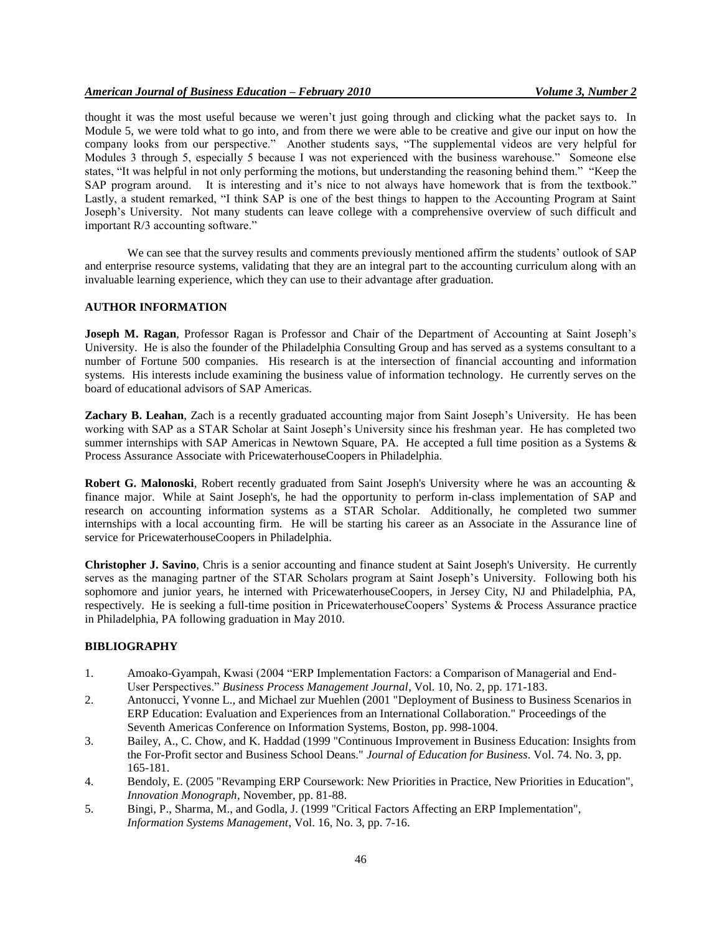thought it was the most useful because we weren't just going through and clicking what the packet says to. In Module 5, we were told what to go into, and from there we were able to be creative and give our input on how the company looks from our perspective." Another students says, "The supplemental videos are very helpful for Modules 3 through 5, especially 5 because I was not experienced with the business warehouse." Someone else states, "It was helpful in not only performing the motions, but understanding the reasoning behind them." "Keep the SAP program around. It is interesting and it's nice to not always have homework that is from the textbook." Lastly, a student remarked, "I think SAP is one of the best things to happen to the Accounting Program at Saint Joseph's University. Not many students can leave college with a comprehensive overview of such difficult and important R/3 accounting software."

We can see that the survey results and comments previously mentioned affirm the students' outlook of SAP and enterprise resource systems, validating that they are an integral part to the accounting curriculum along with an invaluable learning experience, which they can use to their advantage after graduation.

#### **AUTHOR INFORMATION**

**Joseph M. Ragan**, Professor Ragan is Professor and Chair of the Department of Accounting at Saint Joseph's University. He is also the founder of the Philadelphia Consulting Group and has served as a systems consultant to a number of Fortune 500 companies. His research is at the intersection of financial accounting and information systems. His interests include examining the business value of information technology. He currently serves on the board of educational advisors of SAP Americas.

**Zachary B. Leahan**, Zach is a recently graduated accounting major from Saint Joseph's University. He has been working with SAP as a STAR Scholar at Saint Joseph's University since his freshman year. He has completed two summer internships with SAP Americas in Newtown Square, PA. He accepted a full time position as a Systems & Process Assurance Associate with PricewaterhouseCoopers in Philadelphia.

**Robert G. Malonoski**, Robert recently graduated from Saint Joseph's University where he was an accounting & finance major. While at Saint Joseph's, he had the opportunity to perform in-class implementation of SAP and research on accounting information systems as a STAR Scholar. Additionally, he completed two summer internships with a local accounting firm. He will be starting his career as an Associate in the Assurance line of service for PricewaterhouseCoopers in Philadelphia.

**Christopher J. Savino**, Chris is a senior accounting and finance student at Saint Joseph's University. He currently serves as the managing partner of the STAR Scholars program at Saint Joseph's University. Following both his sophomore and junior years, he interned with PricewaterhouseCoopers, in Jersey City, NJ and Philadelphia, PA, respectively. He is seeking a full-time position in PricewaterhouseCoopers' Systems & Process Assurance practice in Philadelphia, PA following graduation in May 2010.

#### **BIBLIOGRAPHY**

- 1. Amoako-Gyampah, Kwasi (2004 "ERP Implementation Factors: a Comparison of Managerial and End-User Perspectives." *Business Process Management Journal*, Vol. 10, No. 2, pp. 171-183.
- 2. Antonucci, Yvonne L., and Michael zur Muehlen (2001 "Deployment of Business to Business Scenarios in ERP Education: Evaluation and Experiences from an International Collaboration." Proceedings of the Seventh Americas Conference on Information Systems, Boston, pp. 998-1004.
- 3. Bailey, A., C. Chow, and K. Haddad (1999 "Continuous Improvement in Business Education: Insights from the For-Profit sector and Business School Deans." *Journal of Education for Business*. Vol. 74. No. 3, pp. 165-181.
- 4. Bendoly, E. (2005 "Revamping ERP Coursework: New Priorities in Practice, New Priorities in Education", *Innovation Monograph*, November, pp. 81-88.
- 5. Bingi, P., Sharma, M., and Godla, J. (1999 "Critical Factors Affecting an ERP Implementation", *Information Systems Management*, Vol. 16, No. 3, pp. 7-16.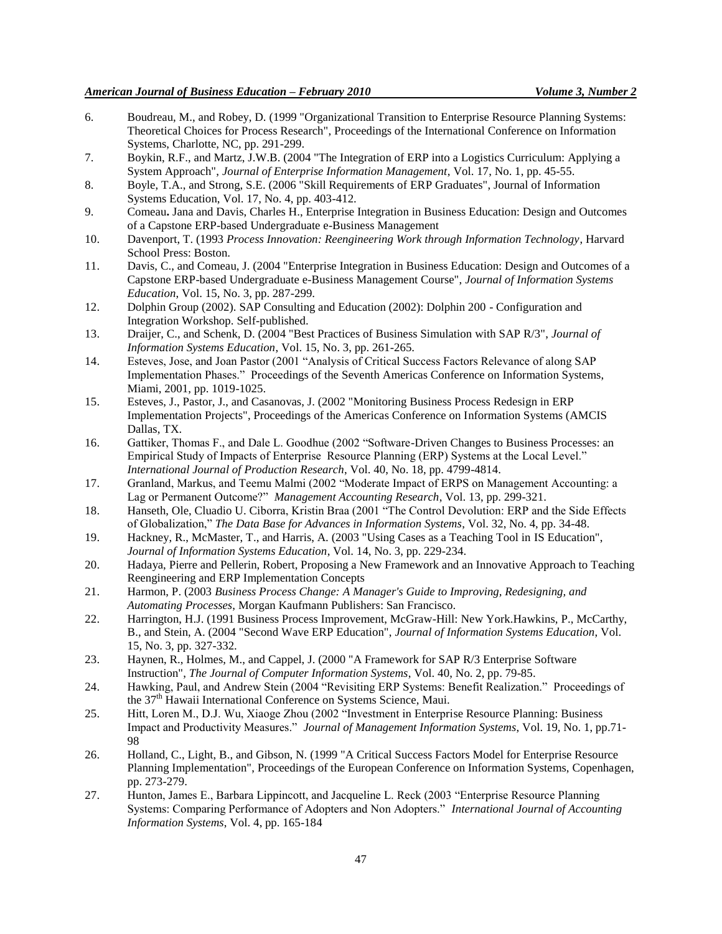- 6. Boudreau, M., and Robey, D. (1999 "Organizational Transition to Enterprise Resource Planning Systems: Theoretical Choices for Process Research", Proceedings of the International Conference on Information Systems, Charlotte, NC, pp. 291-299.
- 7. Boykin, R.F., and Martz, J.W.B. (2004 "The Integration of ERP into a Logistics Curriculum: Applying a System Approach", *Journal of Enterprise Information Management*, Vol. 17, No. 1, pp. 45-55.
- 8. Boyle, T.A., and Strong, S.E. (2006 "Skill Requirements of ERP Graduates", Journal of Information Systems Education, Vol. 17, No. 4, pp. 403-412.
- 9. Comeau**.** Jana and Davis, Charles H., Enterprise Integration in Business Education: Design and Outcomes of a Capstone ERP-based Undergraduate e-Business Management
- 10. Davenport, T. (1993 *Process Innovation: Reengineering Work through Information Technology*, Harvard School Press: Boston.
- 11. Davis, C., and Comeau, J. (2004 "Enterprise Integration in Business Education: Design and Outcomes of a Capstone ERP-based Undergraduate e-Business Management Course", *Journal of Information Systems Education*, Vol. 15, No. 3, pp. 287-299.
- 12. Dolphin Group (2002). SAP Consulting and Education (2002): Dolphin 200 Configuration and Integration Workshop. Self-published.
- 13. Draijer, C., and Schenk, D. (2004 "Best Practices of Business Simulation with SAP R/3", *Journal of Information Systems Education*, Vol. 15, No. 3, pp. 261-265.
- 14. Esteves, Jose, and Joan Pastor (2001 "Analysis of Critical Success Factors Relevance of along SAP Implementation Phases." Proceedings of the Seventh Americas Conference on Information Systems, Miami, 2001, pp. 1019-1025.
- 15. Esteves, J., Pastor, J., and Casanovas, J. (2002 "Monitoring Business Process Redesign in ERP Implementation Projects", Proceedings of the Americas Conference on Information Systems (AMCIS Dallas, TX.
- 16. Gattiker, Thomas F., and Dale L. Goodhue (2002 "Software-Driven Changes to Business Processes: an Empirical Study of Impacts of Enterprise Resource Planning (ERP) Systems at the Local Level." *International Journal of Production Research*, Vol. 40, No. 18, pp. 4799-4814.
- 17. Granland, Markus, and Teemu Malmi (2002 "Moderate Impact of ERPS on Management Accounting: a Lag or Permanent Outcome?" *Management Accounting Research*, Vol. 13, pp. 299-321.
- 18. Hanseth, Ole, Cluadio U. Ciborra, Kristin Braa (2001 "The Control Devolution: ERP and the Side Effects of Globalization," *The Data Base for Advances in Information Systems*, Vol. 32, No. 4, pp. 34-48.
- 19. Hackney, R., McMaster, T., and Harris, A. (2003 "Using Cases as a Teaching Tool in IS Education", *Journal of Information Systems Education*, Vol. 14, No. 3, pp. 229-234.
- 20. Hadaya, Pierre and Pellerin, Robert, Proposing a New Framework and an Innovative Approach to Teaching Reengineering and ERP Implementation Concepts
- 21. Harmon, P. (2003 *Business Process Change: A Manager's Guide to Improving, Redesigning, and Automating Processes*, Morgan Kaufmann Publishers: San Francisco.
- 22. Harrington, H.J. (1991 Business Process Improvement, McGraw-Hill: New York.Hawkins, P., McCarthy, B., and Stein, A. (2004 "Second Wave ERP Education", *Journal of Information Systems Education*, Vol. 15, No. 3, pp. 327-332.
- 23. Haynen, R., Holmes, M., and Cappel, J. (2000 "A Framework for SAP R/3 Enterprise Software Instruction", *The Journal of Computer Information Systems*, Vol. 40, No. 2, pp. 79-85.
- 24. Hawking, Paul, and Andrew Stein (2004 "Revisiting ERP Systems: Benefit Realization." Proceedings of the 37<sup>th</sup> Hawaii International Conference on Systems Science, Maui.
- 25. Hitt, Loren M., D.J. Wu, Xiaoge Zhou (2002 "Investment in Enterprise Resource Planning: Business Impact and Productivity Measures." *Journal of Management Information Systems*, Vol. 19, No. 1, pp.71- 98
- 26. Holland, C., Light, B., and Gibson, N. (1999 "A Critical Success Factors Model for Enterprise Resource Planning Implementation", Proceedings of the European Conference on Information Systems, Copenhagen, pp. 273-279.
- 27. Hunton, James E., Barbara Lippincott, and Jacqueline L. Reck (2003 "Enterprise Resource Planning Systems: Comparing Performance of Adopters and Non Adopters." *International Journal of Accounting Information Systems*, Vol. 4, pp. 165-184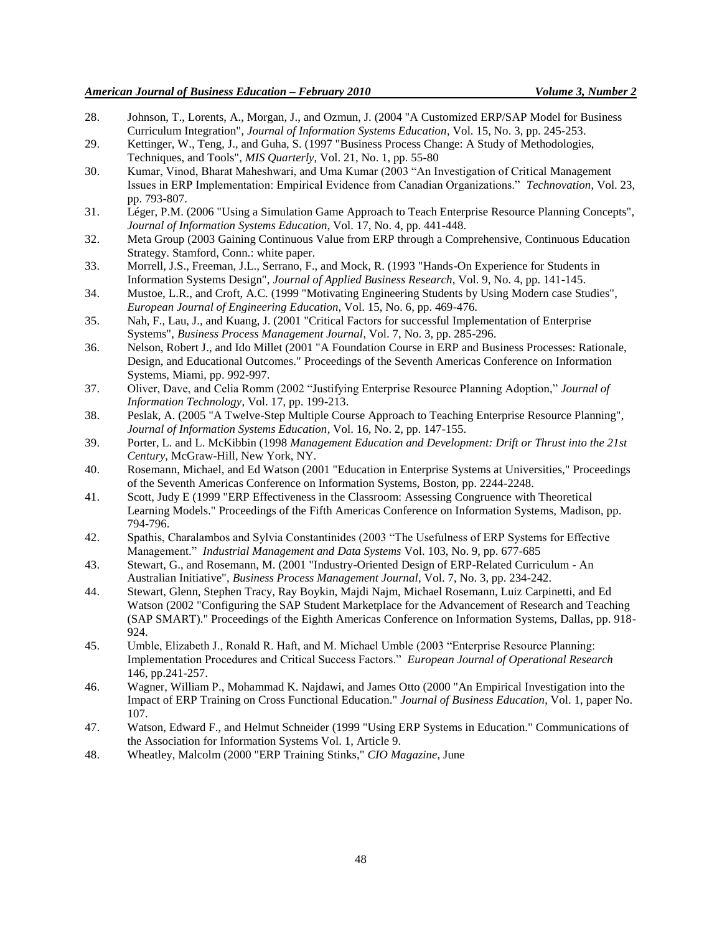- 28. Johnson, T., Lorents, A., Morgan, J., and Ozmun, J. (2004 "A Customized ERP/SAP Model for Business Curriculum Integration", *Journal of Information Systems Education*, Vol. 15, No. 3, pp. 245-253.
- 29. Kettinger, W., Teng, J., and Guha, S. (1997 "Business Process Change: A Study of Methodologies, Techniques, and Tools", *MIS Quarterly*, Vol. 21, No. 1, pp. 55-80
- 30. Kumar, Vinod, Bharat Maheshwari, and Uma Kumar (2003 "An Investigation of Critical Management Issues in ERP Implementation: Empirical Evidence from Canadian Organizations." *Technovation*, Vol. 23, pp. 793-807.
- 31. Léger, P.M. (2006 "Using a Simulation Game Approach to Teach Enterprise Resource Planning Concepts", *Journal of Information Systems Education*, Vol. 17, No. 4, pp. 441-448.
- 32. Meta Group (2003 Gaining Continuous Value from ERP through a Comprehensive, Continuous Education Strategy. Stamford, Conn.: white paper.
- 33. Morrell, J.S., Freeman, J.L., Serrano, F., and Mock, R. (1993 "Hands-On Experience for Students in Information Systems Design", *Journal of Applied Business Research*, Vol. 9, No. 4, pp. 141-145.
- 34. Mustoe, L.R., and Croft, A.C. (1999 "Motivating Engineering Students by Using Modern case Studies", *European Journal of Engineering Education*, Vol. 15, No. 6, pp. 469-476.
- 35. Nah, F., Lau, J., and Kuang, J. (2001 "Critical Factors for successful Implementation of Enterprise Systems", *Business Process Management Journal*, Vol. 7, No. 3, pp. 285-296.
- 36. Nelson, Robert J., and Ido Millet (2001 "A Foundation Course in ERP and Business Processes: Rationale, Design, and Educational Outcomes." Proceedings of the Seventh Americas Conference on Information Systems, Miami, pp. 992-997.
- 37. Oliver, Dave, and Celia Romm (2002 "Justifying Enterprise Resource Planning Adoption," *Journal of Information Technology*, Vol. 17, pp. 199-213.
- 38. Peslak, A. (2005 "A Twelve-Step Multiple Course Approach to Teaching Enterprise Resource Planning", *Journal of Information Systems Education*, Vol. 16, No. 2, pp. 147-155.
- 39. Porter, L. and L. McKibbin (1998 *Management Education and Development: Drift or Thrust into the 21st Century*, McGraw-Hill, New York, NY.
- 40. Rosemann, Michael, and Ed Watson (2001 "Education in Enterprise Systems at Universities," Proceedings of the Seventh Americas Conference on Information Systems, Boston, pp. 2244-2248.
- 41. Scott, Judy E (1999 "ERP Effectiveness in the Classroom: Assessing Congruence with Theoretical Learning Models." Proceedings of the Fifth Americas Conference on Information Systems, Madison, pp. 794-796.
- 42. Spathis, Charalambos and Sylvia Constantinides (2003 "The Usefulness of ERP Systems for Effective Management." *Industrial Management and Data Systems* Vol. 103, No. 9, pp. 677-685
- 43. Stewart, G., and Rosemann, M. (2001 "Industry-Oriented Design of ERP-Related Curriculum An Australian Initiative", *Business Process Management Journal*, Vol. 7, No. 3, pp. 234-242.
- 44. Stewart, Glenn, Stephen Tracy, Ray Boykin, Majdi Najm, Michael Rosemann, Luiz Carpinetti, and Ed Watson (2002 "Configuring the SAP Student Marketplace for the Advancement of Research and Teaching (SAP SMART)." Proceedings of the Eighth Americas Conference on Information Systems, Dallas, pp. 918- 924.
- 45. Umble, Elizabeth J., Ronald R. Haft, and M. Michael Umble (2003 "Enterprise Resource Planning: Implementation Procedures and Critical Success Factors." *European Journal of Operational Research* 146, pp.241-257.
- 46. Wagner, William P., Mohammad K. Najdawi, and James Otto (2000 "An Empirical Investigation into the Impact of ERP Training on Cross Functional Education." *Journal of Business Education*, Vol. 1, paper No. 107.
- 47. Watson, Edward F., and Helmut Schneider (1999 "Using ERP Systems in Education." Communications of the Association for Information Systems Vol. 1, Article 9.
- 48. Wheatley, Malcolm (2000 "ERP Training Stinks," *CIO Magazine*, June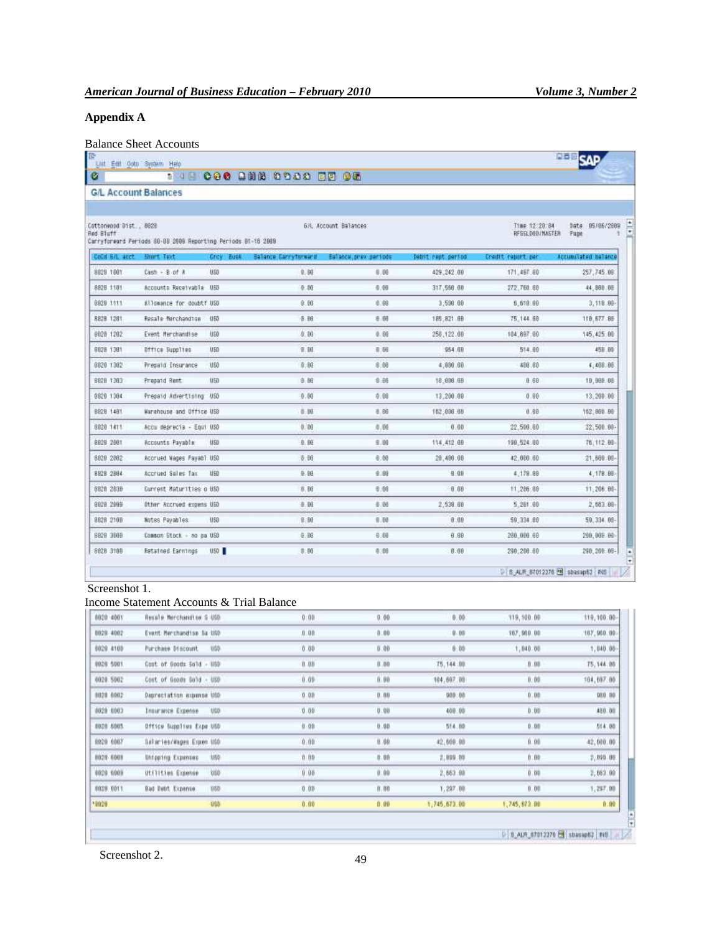#### **Appendix A**

## Balance Sheet Accounts

|                        | <b>G/L Account Balances</b>                                  |                                           |                        |                        |                   |                                |                            |
|------------------------|--------------------------------------------------------------|-------------------------------------------|------------------------|------------------------|-------------------|--------------------------------|----------------------------|
| Cottonwood Dist., 8020 |                                                              |                                           | 6.4L Account Ballances |                        |                   | T186 12:28:84                  | 9578672009<br>Date:        |
| Red Bluff              | Carryforward Periods 80-88 2009 Reporting Periods 81-16 2009 |                                           |                        |                        |                   | RFSSL00D/MASTER                | Pape                       |
| Cold 6/L arct          | <b>Enurt Text</b>                                            | <b>Crcy Bush</b><br>Ballance Carrytonward |                        | Ealiance, previousneds | Debit rept pertod | Credit report per              | <b>Accumulated balance</b> |
| 8829 1861              | $Case 7 + 8$ of $A$                                          | USD                                       | 0.00                   | 0.00                   | 429.242.00        | 171,497.00                     | 257,745.08                 |
| 8828 1181              | Accounts Receivable USD                                      |                                           | 0.00                   | 0.00                   | 317,566.00        | 272,768.60                     | 44,880.88                  |
| 8828 1111              | Allowance for doubtf USD                                     |                                           | 0.00                   | 0.08                   | 3,598.00          | 6,618 80                       | 3,118.88                   |
| 8828 1281              | Resale Marchandias                                           | 050                                       | 9.BG                   | 6.66                   | 185, 821.68       | 75,144.68                      | 119, 577.88                |
| 8028 1202              | Event Herchandise                                            | <b>USD</b>                                | 0.00                   | 0.00                   | 250, 122.00       | 104.897.00                     | 145, 425.00                |
| 8828 1381              | <b>Difice Supplies</b>                                       | U <sub>5D</sub>                           | 9.00                   | 93.9                   | 964.68            | 514.00                         | 45B BB                     |
| 9829 1382              | Presaid Insurance                                            | U50                                       | 0.00                   | \$.00                  | 4,898.80          | 408.00                         | 4,400.00                   |
| 8828 1383              | Presend Rent                                                 | U <sub>50</sub>                           | B. BE                  | 0.00                   | 18,898.88         | 8.88                           | 19,998.88                  |
| 9828 1384              | Prepaid Advertising USD                                      |                                           | 0.00                   | 0.00                   | 13.200.00         | 0.00                           | 13,290.00                  |
| 8928 1481              | Marehouse and Office USD                                     |                                           | B:DB                   | 0.86                   | 152,898.00        | 0.00                           | 162,960.98                 |
| 8028 1411              | Accu deprecia - Equi USO                                     |                                           | 0.00                   | 0.00                   | 0.60              | 22,506.00                      | 22,500.00                  |
| \$828 2881             | Accounts Payable                                             | <b>USD</b>                                | <b>B.BE</b>            | 0.88                   | 114,412.09        | 199,524.88                     | 75, 112.88                 |
| 8828 2882              | Accrued Mages Payabl USO                                     |                                           | 0.00                   | 6:00                   | 28,400.00         | 42.000.00                      | 21,666.00                  |
| 8828 2884              | Accrued Sales Tax                                            | UED                                       | 9.98                   | 9.88                   | 9.99              | 4,179.89                       | 4,178.88                   |
| 8828 2835              | Durrent Maturities o USD                                     |                                           | 8.00                   | 0.00                   | 0.00              | 11,286.09                      | 11,206.00-                 |
| 8828 2898              | Other Accrued expans USD                                     |                                           | 8.98                   | 0.06                   | 2,538.60          | 5, 281.88                      | 2,683.80                   |
| 8828 2100              | Notes Payables                                               | U <sub>50</sub>                           | 0. BO                  | 0.00                   | 0.00              | 59, 334.88                     | 59, 334, 86                |
| 9828 3605              | Common Stock - no pa USD                                     |                                           | 0.00                   | 0.80                   | 0.00              | 288, 998.99                    | 200,000.00                 |
| 8828 3188              | Retained Earnings                                            | <b>USD</b>                                | 0:00                   | 0.88                   | 0.00              | 290, 200.00                    | 290, 260.00-               |
|                        |                                                              |                                           |                        |                        |                   | D B ALF 67012276 2 shasap62 NS |                            |
| Screenshot 1.          |                                                              |                                           |                        |                        |                   |                                |                            |
|                        |                                                              | Income Statement Accounts & Trial Balance |                        |                        |                   |                                |                            |
| 10028 4001             | Resale Nerchandise G USD                                     |                                           | 0:00                   | 0.00                   | 0.00              | 119, 100.00                    | 119, 100:00                |
| 8928 4002              | Event Necchandise Sa USD                                     |                                           | 0.00                   | 0.00                   | $0 - 00$          | 167,959.00                     | 167,960.00                 |
| 8029 4100              | Purchase Discount                                            | <b>UGD</b>                                | 0.00                   | 0.00                   | $0 - 00$          | 1,040.00                       | 1,840.00                   |
| 0928 5001              | Cost of Goods Sold                                           | $-100$                                    | 0.00                   | 0.00                   | 75, 144.00        | 0.00                           | 75, 144.08                 |
| 0020 5002              | Cost of Goods Sold - USD                                     |                                           | 0.09                   | 0.00                   | 104,697.00        | 0.00                           | 104,697.00                 |
| 8020 8002              | Deprectation expense USD                                     |                                           | 0.01                   | 0.00                   | 900.00            | 0.00                           | 909.99                     |
| 1029 6563              | <b>Insurance Expense</b>                                     | <b>UGO</b>                                | 0.00.                  | 0.00                   | 400.00            | 0.00                           | 480.00                     |
| 8026 6005              | Office Supplies Expe USD                                     |                                           | 0.00                   | 0.00                   | 514.00            | 0.00                           | 514.00                     |
| 0020 6007              | Salaries/Mages Expen USD                                     |                                           | 0.00                   | 0.00                   | 42.000.00         | 0.00                           | 42,000.00                  |
|                        | <b>Untgoing Expenses</b>                                     | UED.                                      | 0.00                   | 0.00                   | 2,099.00          | 0.00                           | 2,899.00                   |
| 8028 6008              | Utilities Expense                                            | <b>U60</b>                                | 0.05                   | 0:00                   | 2,663.08          | 0.00                           | 2,663.00                   |
|                        |                                                              |                                           |                        |                        |                   |                                |                            |
| 0028 6009<br>8028 6011 | <b>Bad Debt Expense</b>                                      | <b>UW</b>                                 | 0.00                   | 0.00                   | 1,297.00          | 0.01                           | 1,297.00                   |

Screenshot 2.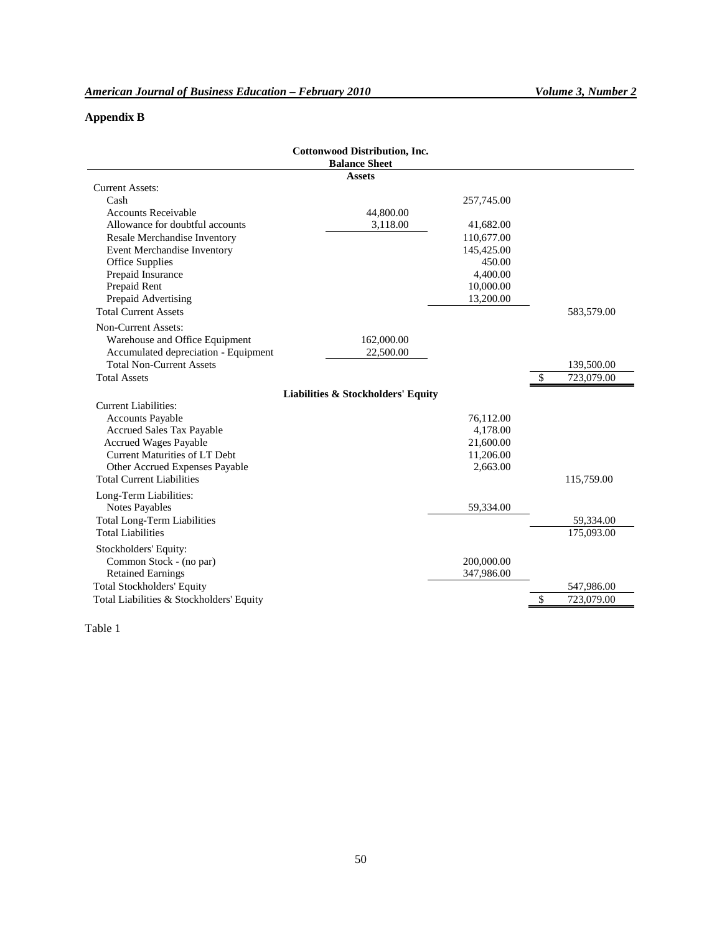#### **Appendix B**

| 583,579.00 |
|------------|
|            |
|            |
|            |
| 139,500.00 |
| 723,079.00 |
|            |
|            |
|            |
|            |
|            |
|            |
|            |
| 115,759.00 |
|            |
|            |
| 59,334.00  |
| 175,093.00 |
|            |
|            |
|            |
| 547,986.00 |
| 723,079.00 |
|            |

Table 1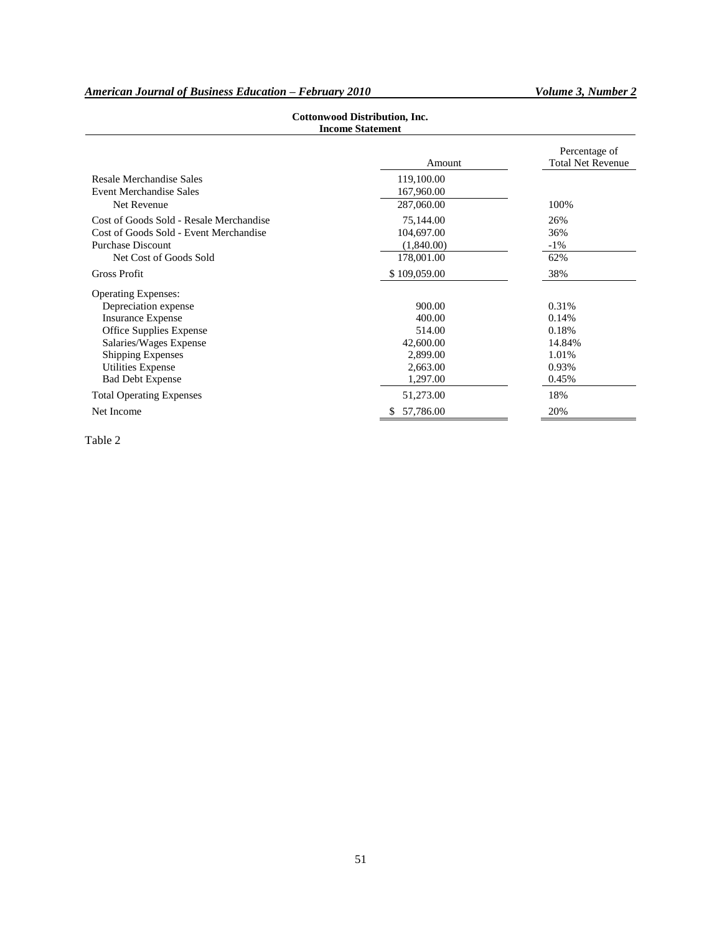#### *American Journal of Business Education – February 2010 Volume 3, Number 2*

| <b>Income Statement</b>                 |                 |                                           |  |  |  |  |
|-----------------------------------------|-----------------|-------------------------------------------|--|--|--|--|
|                                         | Amount          | Percentage of<br><b>Total Net Revenue</b> |  |  |  |  |
| Resale Merchandise Sales                | 119,100.00      |                                           |  |  |  |  |
| <b>Event Merchandise Sales</b>          | 167,960.00      |                                           |  |  |  |  |
| Net Revenue                             | 287,060.00      | 100%                                      |  |  |  |  |
| Cost of Goods Sold - Resale Merchandise | 75,144.00       | 26%                                       |  |  |  |  |
| Cost of Goods Sold - Event Merchandise  | 104,697.00      | 36%                                       |  |  |  |  |
| <b>Purchase Discount</b>                | (1,840.00)      | $-1\%$                                    |  |  |  |  |
| Net Cost of Goods Sold                  | 178,001.00      | 62%                                       |  |  |  |  |
| <b>Gross Profit</b>                     | \$109,059.00    | 38%                                       |  |  |  |  |
| <b>Operating Expenses:</b>              |                 |                                           |  |  |  |  |
| Depreciation expense                    | 900.00          | 0.31%                                     |  |  |  |  |
| <b>Insurance Expense</b>                | 400.00          | 0.14%                                     |  |  |  |  |
| Office Supplies Expense                 | 514.00          | 0.18%                                     |  |  |  |  |
| Salaries/Wages Expense                  | 42,600.00       | 14.84%                                    |  |  |  |  |
| <b>Shipping Expenses</b>                | 2,899.00        | 1.01%                                     |  |  |  |  |
| <b>Utilities Expense</b>                | 2,663.00        | 0.93%                                     |  |  |  |  |
| <b>Bad Debt Expense</b>                 | 1,297.00        | 0.45%                                     |  |  |  |  |
| <b>Total Operating Expenses</b>         | 51,273.00       | 18%                                       |  |  |  |  |
| Net Income                              | 57,786.00<br>\$ | 20%                                       |  |  |  |  |

### **Cottonwood Distribution, Inc.**

Table 2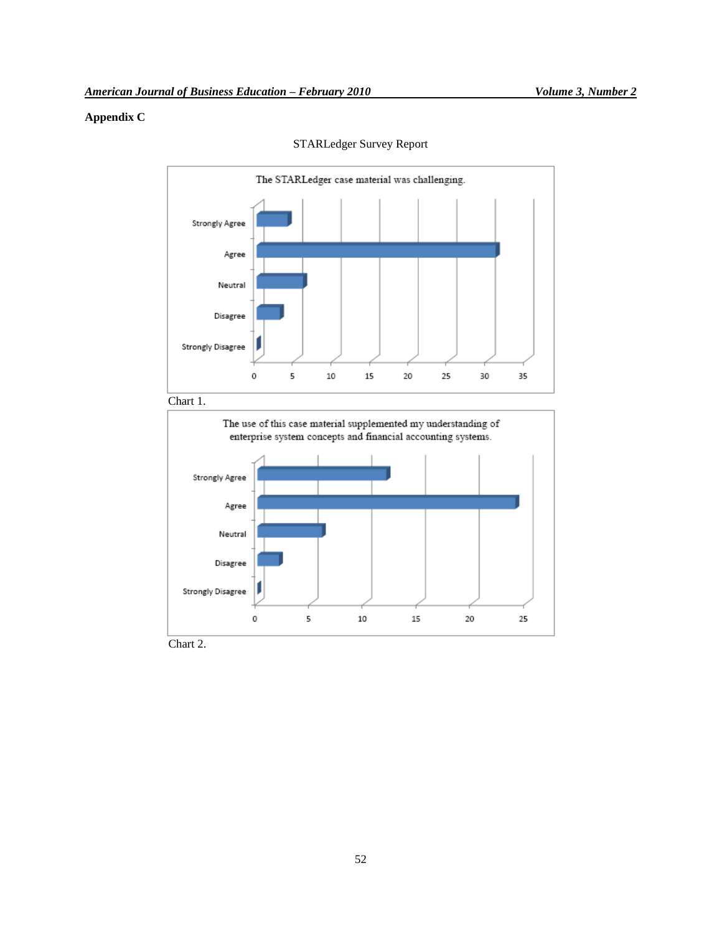#### **Appendix C**



STARLedger Survey Report

Chart 2.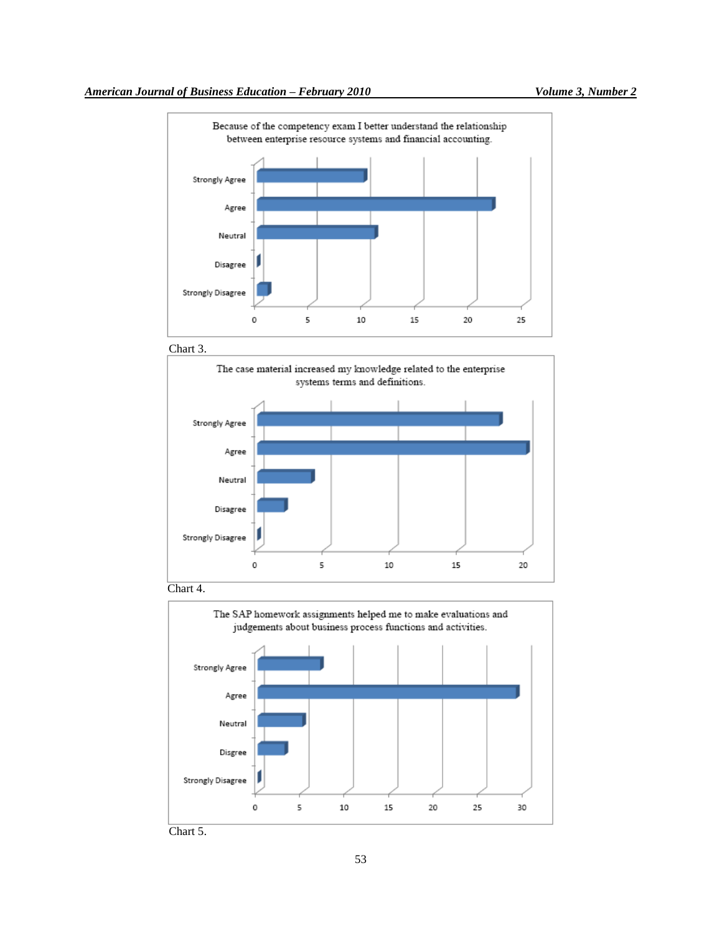









Chart 5.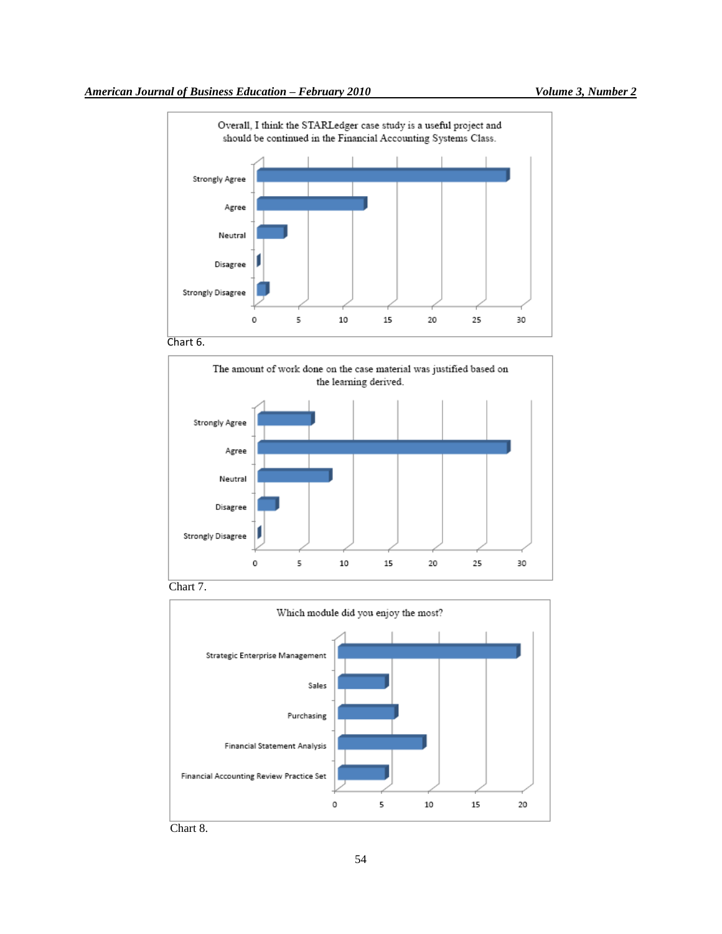

Chart 6.







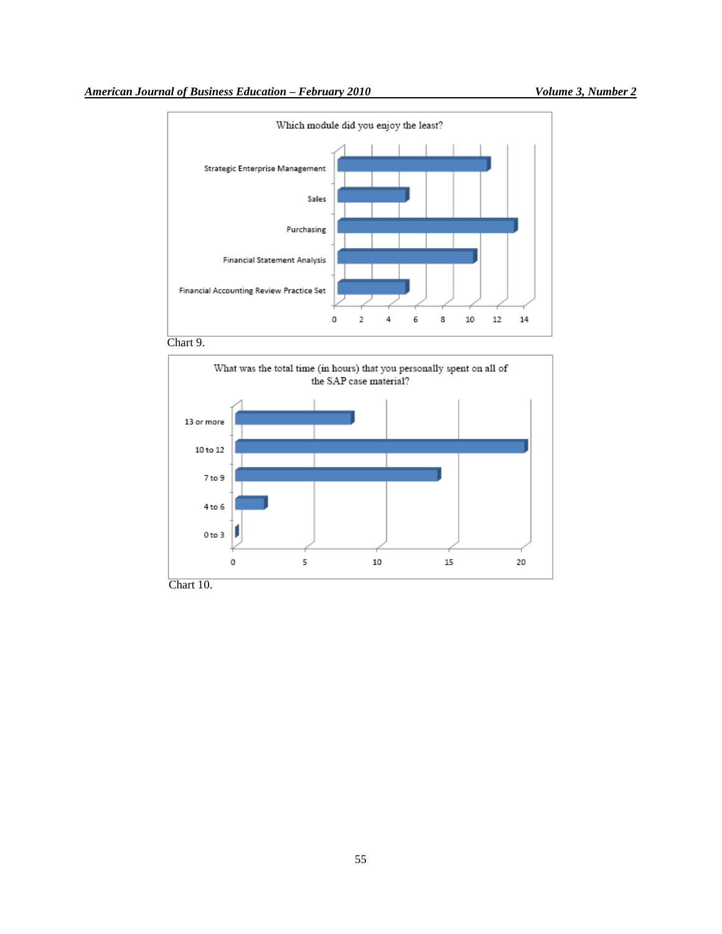